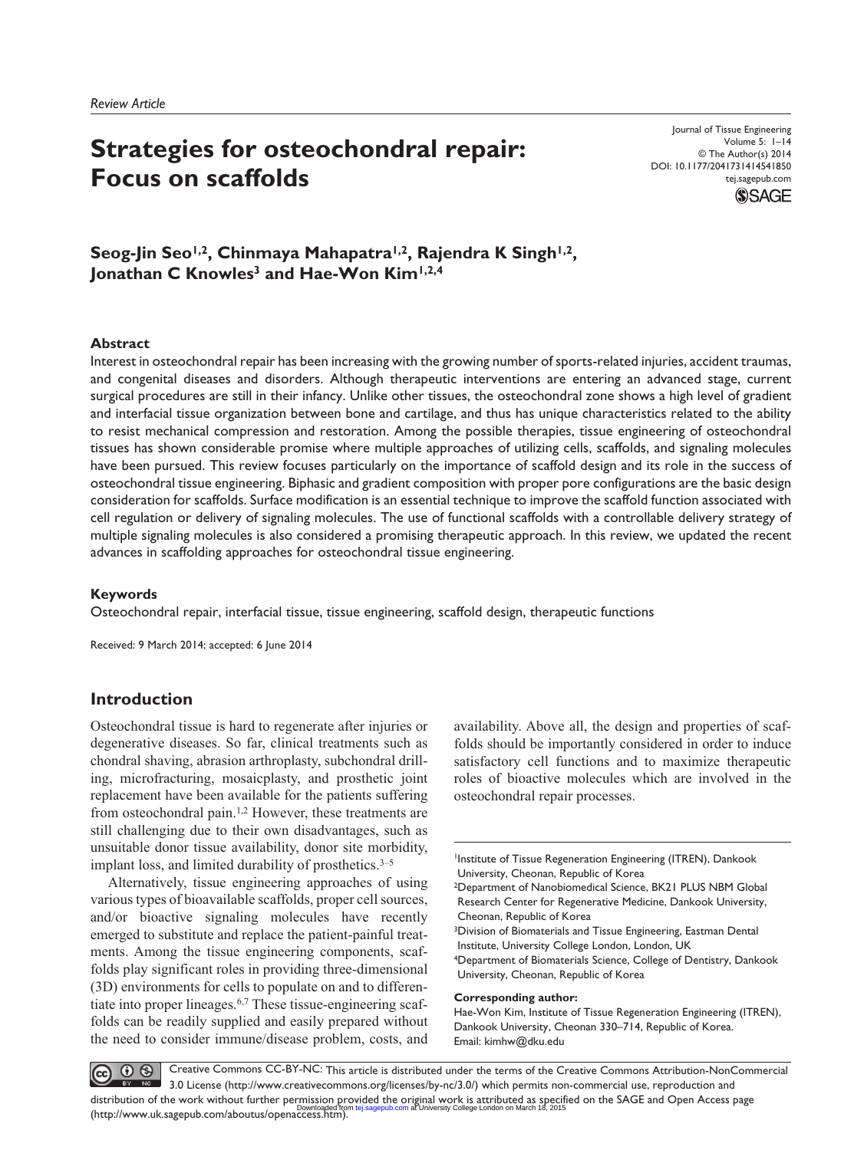# **Strategies for osteochondral repair: Focus on scaffolds**

Journal of Tissue Engineering Volume 5: 1–14 © The Author(s) 2014 DOI: 10.1177/2041731414541850 tej.sagepub.com **SSAGE** 

# **Seog-Jin Seo1,2, Chinmaya Mahapatra1,2, Rajendra K Singh1,2, Jonathan C Knowles3 and Hae-Won Kim1,2,4**

#### **Abstract**

Interest in osteochondral repair has been increasing with the growing number of sports-related injuries, accident traumas, and congenital diseases and disorders. Although therapeutic interventions are entering an advanced stage, current surgical procedures are still in their infancy. Unlike other tissues, the osteochondral zone shows a high level of gradient and interfacial tissue organization between bone and cartilage, and thus has unique characteristics related to the ability to resist mechanical compression and restoration. Among the possible therapies, tissue engineering of osteochondral tissues has shown considerable promise where multiple approaches of utilizing cells, scaffolds, and signaling molecules have been pursued. This review focuses particularly on the importance of scaffold design and its role in the success of osteochondral tissue engineering. Biphasic and gradient composition with proper pore configurations are the basic design consideration for scaffolds. Surface modification is an essential technique to improve the scaffold function associated with cell regulation or delivery of signaling molecules. The use of functional scaffolds with a controllable delivery strategy of multiple signaling molecules is also considered a promising therapeutic approach. In this review, we updated the recent advances in scaffolding approaches for osteochondral tissue engineering.

#### **Keywords**

Osteochondral repair, interfacial tissue, tissue engineering, scaffold design, therapeutic functions

Received: 9 March 2014; accepted: 6 June 2014

## **Introduction**

Osteochondral tissue is hard to regenerate after injuries or degenerative diseases. So far, clinical treatments such as chondral shaving, abrasion arthroplasty, subchondral drilling, microfracturing, mosaicplasty, and prosthetic joint replacement have been available for the patients suffering from osteochondral pain.1,2 However, these treatments are still challenging due to their own disadvantages, such as unsuitable donor tissue availability, donor site morbidity, implant loss, and limited durability of prosthetics.<sup>3–5</sup>

Alternatively, tissue engineering approaches of using various types of bioavailable scaffolds, proper cell sources, and/or bioactive signaling molecules have recently emerged to substitute and replace the patient-painful treatments. Among the tissue engineering components, scaffolds play significant roles in providing three-dimensional (3D) environments for cells to populate on and to differentiate into proper lineages.6,7 These tissue-engineering scaffolds can be readily supplied and easily prepared without the need to consider immune/disease problem, costs, and availability. Above all, the design and properties of scaffolds should be importantly considered in order to induce satisfactory cell functions and to maximize therapeutic roles of bioactive molecules which are involved in the osteochondral repair processes.

<sup>1</sup>Institute of Tissue Regeneration Engineering (ITREN), Dankook University, Cheonan, Republic of Korea 2Department of Nanobiomedical Science, BK21 PLUS NBM Global Research Center for Regenerative Medicine, Dankook University, Cheonan, Republic of Korea 3Division of Biomaterials and Tissue Engineering, Eastman Dental Institute, University College London, London, UK 4Department of Biomaterials Science, College of Dentistry, Dankook University, Cheonan, Republic of Korea **Corresponding author:**

Hae-Won Kim, Institute of Tissue Regeneration Engineering (ITREN), Dankook University, Cheonan 330–714, Republic of Korea. Email: [kimhw@dku.edu](mailto:kimhw@dku.edu)

Creative Commons CC-BY-NC: This article is distributed under the terms of the Creative Commons Attribution-NonCommercial  $\odot$ (cc) 3.0 License (http://www.creativecommons.org/licenses/by-nc/3.0/) which permits non-commercial use, reproduction and distribution of the work without further permission provided the original work is attributed as specified on the SAGE and Open Access page Downloaded from [tej.sagepub.com](http://tej.sagepub.com/) at University College London on March 18, 2015 (http://www.uk.sagepub.com/aboutus/openaccess.htm).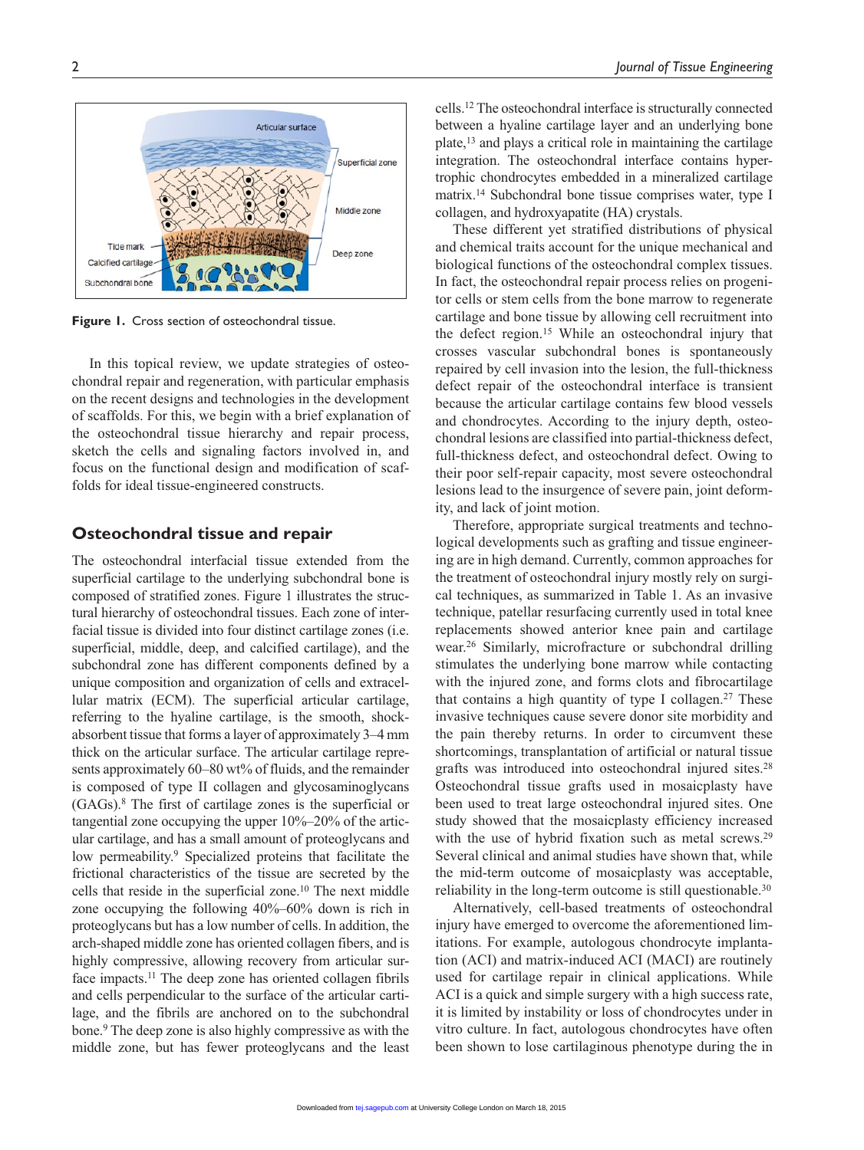

**Figure 1.** Cross section of osteochondral tissue.

In this topical review, we update strategies of osteochondral repair and regeneration, with particular emphasis on the recent designs and technologies in the development of scaffolds. For this, we begin with a brief explanation of the osteochondral tissue hierarchy and repair process, sketch the cells and signaling factors involved in, and focus on the functional design and modification of scaffolds for ideal tissue-engineered constructs.

#### **Osteochondral tissue and repair**

The osteochondral interfacial tissue extended from the superficial cartilage to the underlying subchondral bone is composed of stratified zones. Figure 1 illustrates the structural hierarchy of osteochondral tissues. Each zone of interfacial tissue is divided into four distinct cartilage zones (i.e. superficial, middle, deep, and calcified cartilage), and the subchondral zone has different components defined by a unique composition and organization of cells and extracellular matrix (ECM). The superficial articular cartilage, referring to the hyaline cartilage, is the smooth, shockabsorbent tissue that forms a layer of approximately 3–4 mm thick on the articular surface. The articular cartilage represents approximately 60–80 wt% of fluids, and the remainder is composed of type II collagen and glycosaminoglycans (GAGs).8 The first of cartilage zones is the superficial or tangential zone occupying the upper 10%–20% of the articular cartilage, and has a small amount of proteoglycans and low permeability.<sup>9</sup> Specialized proteins that facilitate the frictional characteristics of the tissue are secreted by the cells that reside in the superficial zone.10 The next middle zone occupying the following 40%–60% down is rich in proteoglycans but has a low number of cells. In addition, the arch-shaped middle zone has oriented collagen fibers, and is highly compressive, allowing recovery from articular surface impacts.11 The deep zone has oriented collagen fibrils and cells perpendicular to the surface of the articular cartilage, and the fibrils are anchored on to the subchondral bone.9 The deep zone is also highly compressive as with the middle zone, but has fewer proteoglycans and the least cells.12 The osteochondral interface is structurally connected between a hyaline cartilage layer and an underlying bone plate,13 and plays a critical role in maintaining the cartilage integration. The osteochondral interface contains hypertrophic chondrocytes embedded in a mineralized cartilage matrix.14 Subchondral bone tissue comprises water, type I collagen, and hydroxyapatite (HA) crystals.

These different yet stratified distributions of physical and chemical traits account for the unique mechanical and biological functions of the osteochondral complex tissues. In fact, the osteochondral repair process relies on progenitor cells or stem cells from the bone marrow to regenerate cartilage and bone tissue by allowing cell recruitment into the defect region.15 While an osteochondral injury that crosses vascular subchondral bones is spontaneously repaired by cell invasion into the lesion, the full-thickness defect repair of the osteochondral interface is transient because the articular cartilage contains few blood vessels and chondrocytes. According to the injury depth, osteochondral lesions are classified into partial-thickness defect, full-thickness defect, and osteochondral defect. Owing to their poor self-repair capacity, most severe osteochondral lesions lead to the insurgence of severe pain, joint deformity, and lack of joint motion.

Therefore, appropriate surgical treatments and technological developments such as grafting and tissue engineering are in high demand. Currently, common approaches for the treatment of osteochondral injury mostly rely on surgical techniques, as summarized in Table 1. As an invasive technique, patellar resurfacing currently used in total knee replacements showed anterior knee pain and cartilage wear.26 Similarly, microfracture or subchondral drilling stimulates the underlying bone marrow while contacting with the injured zone, and forms clots and fibrocartilage that contains a high quantity of type I collagen.<sup>27</sup> These invasive techniques cause severe donor site morbidity and the pain thereby returns. In order to circumvent these shortcomings, transplantation of artificial or natural tissue grafts was introduced into osteochondral injured sites.28 Osteochondral tissue grafts used in mosaicplasty have been used to treat large osteochondral injured sites. One study showed that the mosaicplasty efficiency increased with the use of hybrid fixation such as metal screws.<sup>29</sup> Several clinical and animal studies have shown that, while the mid-term outcome of mosaicplasty was acceptable, reliability in the long-term outcome is still questionable.<sup>30</sup>

Alternatively, cell-based treatments of osteochondral injury have emerged to overcome the aforementioned limitations. For example, autologous chondrocyte implantation (ACI) and matrix-induced ACI (MACI) are routinely used for cartilage repair in clinical applications. While ACI is a quick and simple surgery with a high success rate, it is limited by instability or loss of chondrocytes under in vitro culture. In fact, autologous chondrocytes have often been shown to lose cartilaginous phenotype during the in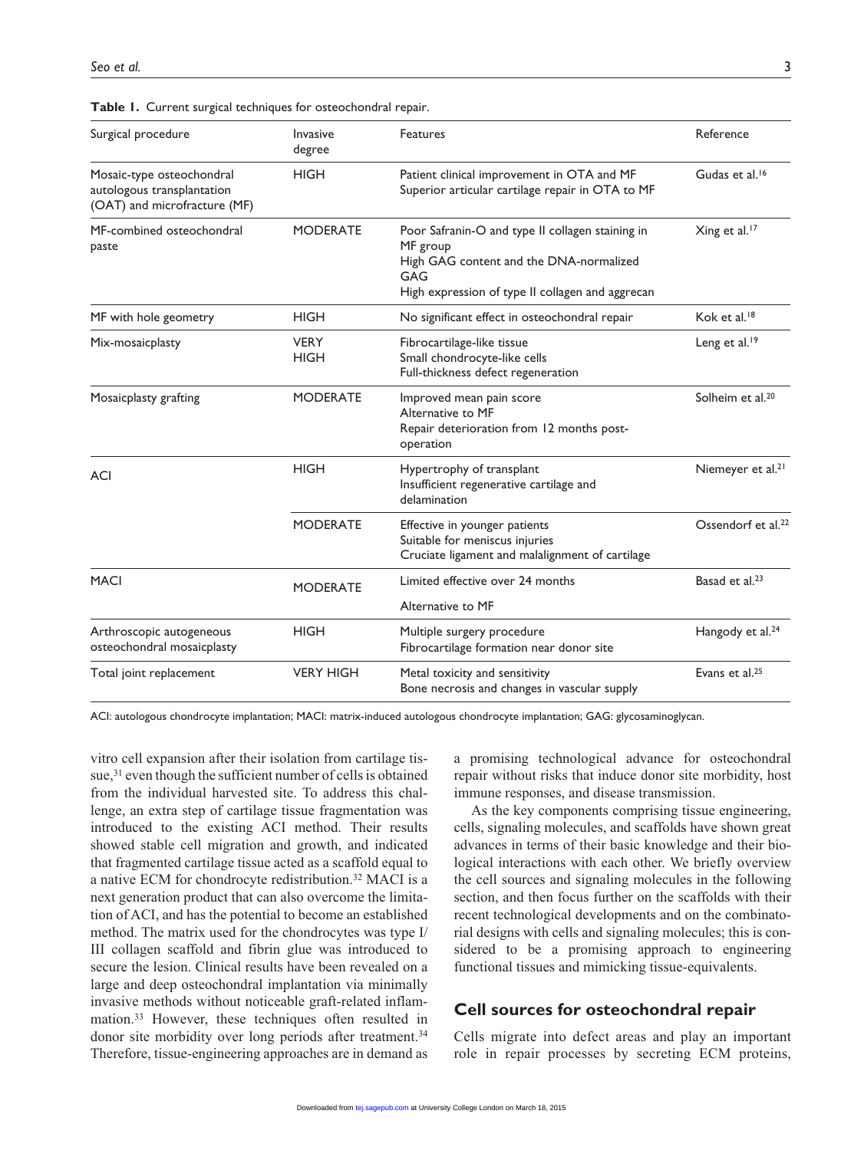| Surgical procedure                                                                      | Invasive<br>degree         | <b>Features</b>                                                                                                                                                    | Reference                      |
|-----------------------------------------------------------------------------------------|----------------------------|--------------------------------------------------------------------------------------------------------------------------------------------------------------------|--------------------------------|
| Mosaic-type osteochondral<br>autologous transplantation<br>(OAT) and microfracture (MF) | <b>HIGH</b>                | Patient clinical improvement in OTA and MF<br>Superior articular cartilage repair in OTA to MF                                                                     | Gudas et al. <sup>16</sup>     |
| MF-combined osteochondral<br>paste                                                      | <b>MODERATE</b>            | Poor Safranin-O and type II collagen staining in<br>MF group<br>High GAG content and the DNA-normalized<br>GAG<br>High expression of type II collagen and aggrecan | Xing et al. <sup>17</sup>      |
| MF with hole geometry                                                                   | <b>HIGH</b>                | No significant effect in osteochondral repair                                                                                                                      | Kok et al. <sup>18</sup>       |
| Mix-mosaicplasty                                                                        | <b>VERY</b><br><b>HIGH</b> | Fibrocartilage-like tissue<br>Small chondrocyte-like cells<br>Full-thickness defect regeneration                                                                   | Leng et al. <sup>19</sup>      |
| Mosaicplasty grafting                                                                   | <b>MODERATE</b>            | Improved mean pain score<br>Alternative to MF<br>Repair deterioration from 12 months post-<br>operation                                                            | Solheim et al. <sup>20</sup>   |
| <b>ACI</b>                                                                              | <b>HIGH</b>                | Hypertrophy of transplant<br>Insufficient regenerative cartilage and<br>delamination                                                                               | Niemeyer et al. <sup>21</sup>  |
|                                                                                         | <b>MODERATE</b>            | Effective in younger patients<br>Suitable for meniscus injuries<br>Cruciate ligament and malalignment of cartilage                                                 | Ossendorf et al. <sup>22</sup> |
| <b>MACI</b>                                                                             | <b>MODERATE</b>            | Limited effective over 24 months                                                                                                                                   | Basad et al. <sup>23</sup>     |
|                                                                                         |                            | Alternative to MF                                                                                                                                                  |                                |
| Arthroscopic autogeneous<br>osteochondral mosaicplasty                                  | <b>HIGH</b>                | Multiple surgery procedure<br>Fibrocartilage formation near donor site                                                                                             | Hangody et al. <sup>24</sup>   |
| Total joint replacement                                                                 | <b>VERY HIGH</b>           | Metal toxicity and sensitivity<br>Bone necrosis and changes in vascular supply                                                                                     | Evans et al. <sup>25</sup>     |

|  | Table 1. Current surgical techniques for osteochondral repair. |  |  |  |
|--|----------------------------------------------------------------|--|--|--|
|--|----------------------------------------------------------------|--|--|--|

ACI: autologous chondrocyte implantation; MACI: matrix-induced autologous chondrocyte implantation; GAG: glycosaminoglycan.

vitro cell expansion after their isolation from cartilage tissue,<sup>31</sup> even though the sufficient number of cells is obtained from the individual harvested site. To address this challenge, an extra step of cartilage tissue fragmentation was introduced to the existing ACI method. Their results showed stable cell migration and growth, and indicated that fragmented cartilage tissue acted as a scaffold equal to a native ECM for chondrocyte redistribution.32 MACI is a next generation product that can also overcome the limitation of ACI, and has the potential to become an established method. The matrix used for the chondrocytes was type I/ III collagen scaffold and fibrin glue was introduced to secure the lesion. Clinical results have been revealed on a large and deep osteochondral implantation via minimally invasive methods without noticeable graft-related inflammation.33 However, these techniques often resulted in donor site morbidity over long periods after treatment.<sup>34</sup> Therefore, tissue-engineering approaches are in demand as a promising technological advance for osteochondral repair without risks that induce donor site morbidity, host immune responses, and disease transmission.

As the key components comprising tissue engineering, cells, signaling molecules, and scaffolds have shown great advances in terms of their basic knowledge and their biological interactions with each other. We briefly overview the cell sources and signaling molecules in the following section, and then focus further on the scaffolds with their recent technological developments and on the combinatorial designs with cells and signaling molecules; this is considered to be a promising approach to engineering functional tissues and mimicking tissue-equivalents.

# **Cell sources for osteochondral repair**

Cells migrate into defect areas and play an important role in repair processes by secreting ECM proteins,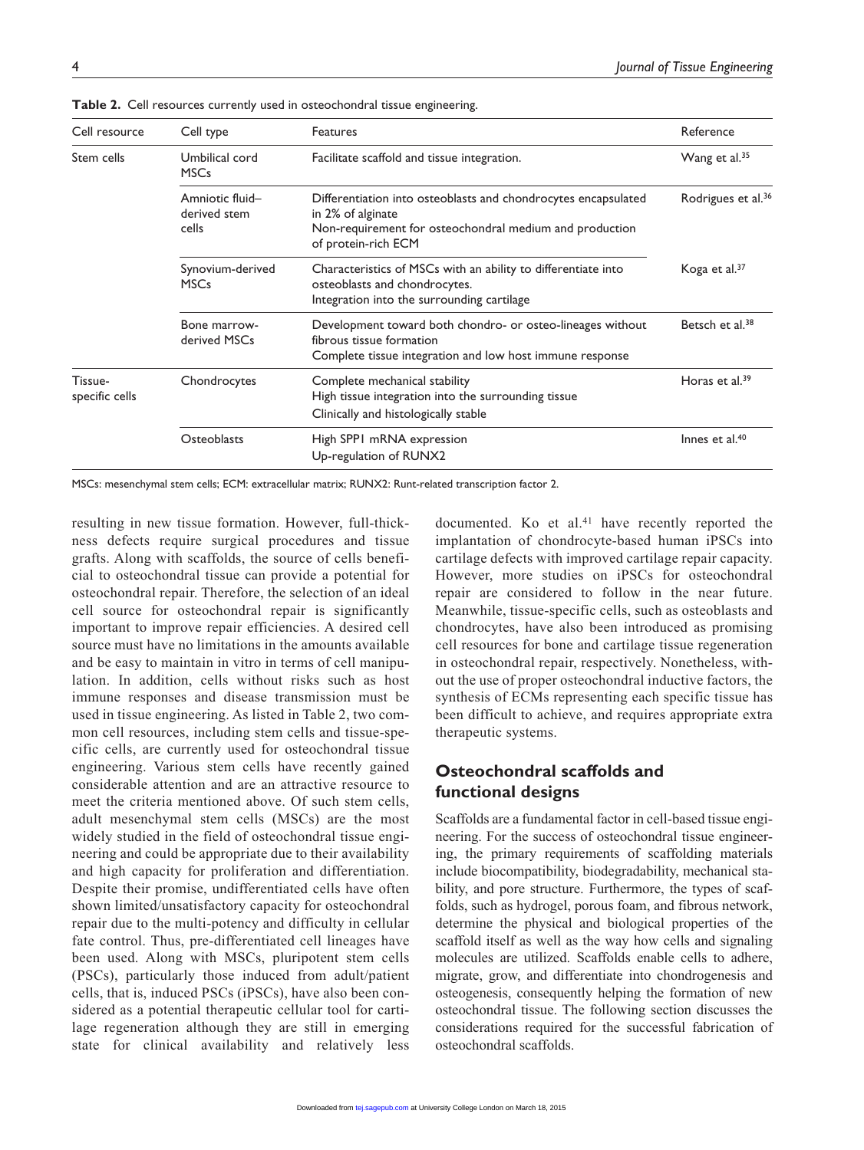| Cell resource             | Cell type                                | <b>Features</b>                                                                                                                                                       | Reference                      |
|---------------------------|------------------------------------------|-----------------------------------------------------------------------------------------------------------------------------------------------------------------------|--------------------------------|
| Stem cells                | Umbilical cord<br><b>MSCs</b>            | Facilitate scaffold and tissue integration.                                                                                                                           | Wang et al. <sup>35</sup>      |
|                           | Amniotic fluid-<br>derived stem<br>cells | Differentiation into osteoblasts and chondrocytes encapsulated<br>in 2% of alginate<br>Non-requirement for osteochondral medium and production<br>of protein-rich ECM | Rodrigues et al. <sup>36</sup> |
|                           | Synovium-derived<br><b>MSCs</b>          | Characteristics of MSCs with an ability to differentiate into<br>osteoblasts and chondrocytes.<br>Integration into the surrounding cartilage                          | Koga et al. <sup>37</sup>      |
|                           | Bone marrow-<br>derived MSCs             | Development toward both chondro- or osteo-lineages without<br>fibrous tissue formation<br>Complete tissue integration and low host immune response                    | Betsch et al. <sup>38</sup>    |
| Tissue-<br>specific cells | Chondrocytes                             | Complete mechanical stability<br>High tissue integration into the surrounding tissue<br>Clinically and histologically stable                                          | Horas et al. <sup>39</sup>     |
|                           | Osteoblasts                              | High SPPI mRNA expression<br>Up-regulation of RUNX2                                                                                                                   | lnnes et al. <sup>40</sup>     |

**Table 2.** Cell resources currently used in osteochondral tissue engineering.

MSCs: mesenchymal stem cells; ECM: extracellular matrix; RUNX2: Runt-related transcription factor 2.

resulting in new tissue formation. However, full-thickness defects require surgical procedures and tissue grafts. Along with scaffolds, the source of cells beneficial to osteochondral tissue can provide a potential for osteochondral repair. Therefore, the selection of an ideal cell source for osteochondral repair is significantly important to improve repair efficiencies. A desired cell source must have no limitations in the amounts available and be easy to maintain in vitro in terms of cell manipulation. In addition, cells without risks such as host immune responses and disease transmission must be used in tissue engineering. As listed in Table 2, two common cell resources, including stem cells and tissue-specific cells, are currently used for osteochondral tissue engineering. Various stem cells have recently gained considerable attention and are an attractive resource to meet the criteria mentioned above. Of such stem cells, adult mesenchymal stem cells (MSCs) are the most widely studied in the field of osteochondral tissue engineering and could be appropriate due to their availability and high capacity for proliferation and differentiation. Despite their promise, undifferentiated cells have often shown limited/unsatisfactory capacity for osteochondral repair due to the multi-potency and difficulty in cellular fate control. Thus, pre-differentiated cell lineages have been used. Along with MSCs, pluripotent stem cells (PSCs), particularly those induced from adult/patient cells, that is, induced PSCs (iPSCs), have also been considered as a potential therapeutic cellular tool for cartilage regeneration although they are still in emerging state for clinical availability and relatively less documented. Ko et al.<sup>41</sup> have recently reported the implantation of chondrocyte-based human iPSCs into cartilage defects with improved cartilage repair capacity. However, more studies on iPSCs for osteochondral repair are considered to follow in the near future. Meanwhile, tissue-specific cells, such as osteoblasts and chondrocytes, have also been introduced as promising cell resources for bone and cartilage tissue regeneration in osteochondral repair, respectively. Nonetheless, without the use of proper osteochondral inductive factors, the synthesis of ECMs representing each specific tissue has been difficult to achieve, and requires appropriate extra therapeutic systems.

# **Osteochondral scaffolds and functional designs**

Scaffolds are a fundamental factor in cell-based tissue engineering. For the success of osteochondral tissue engineering, the primary requirements of scaffolding materials include biocompatibility, biodegradability, mechanical stability, and pore structure. Furthermore, the types of scaffolds, such as hydrogel, porous foam, and fibrous network, determine the physical and biological properties of the scaffold itself as well as the way how cells and signaling molecules are utilized. Scaffolds enable cells to adhere, migrate, grow, and differentiate into chondrogenesis and osteogenesis, consequently helping the formation of new osteochondral tissue. The following section discusses the considerations required for the successful fabrication of osteochondral scaffolds.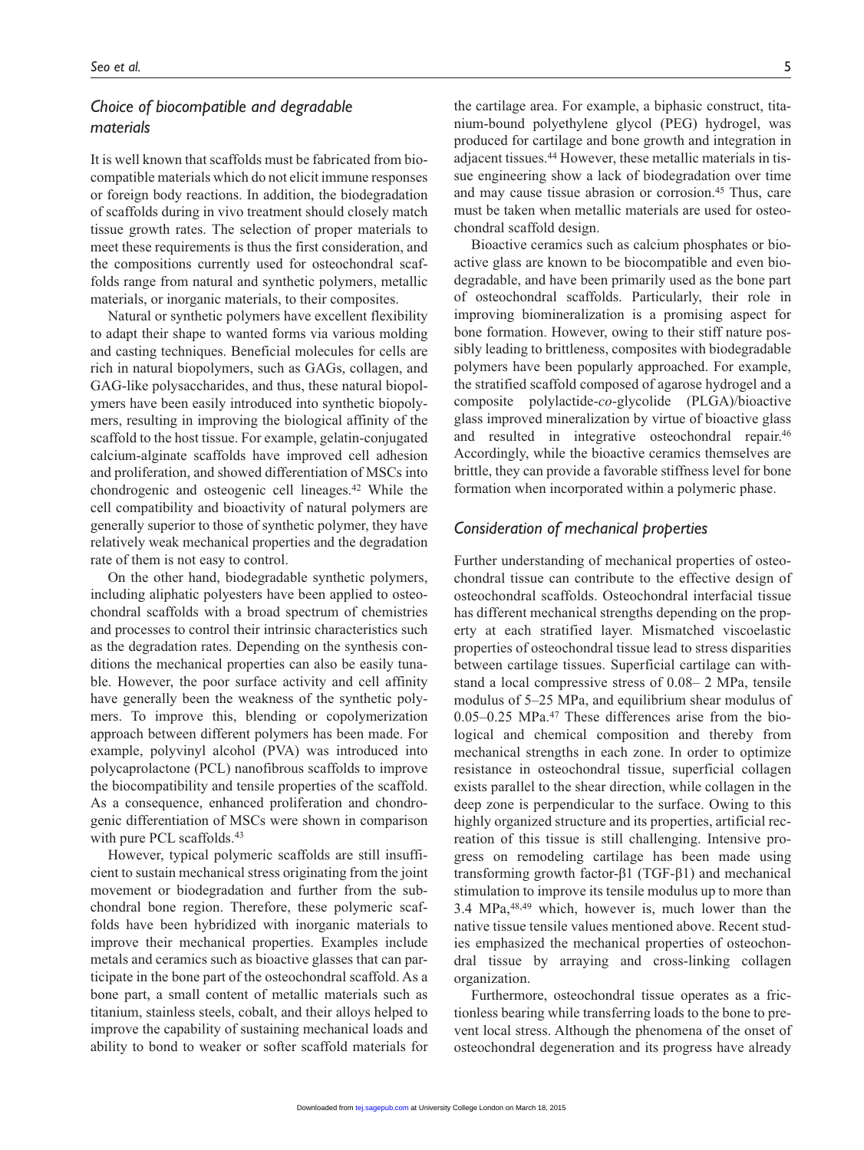# *Choice of biocompatible and degradable materials*

It is well known that scaffolds must be fabricated from biocompatible materials which do not elicit immune responses or foreign body reactions. In addition, the biodegradation of scaffolds during in vivo treatment should closely match tissue growth rates. The selection of proper materials to meet these requirements is thus the first consideration, and the compositions currently used for osteochondral scaffolds range from natural and synthetic polymers, metallic materials, or inorganic materials, to their composites.

Natural or synthetic polymers have excellent flexibility to adapt their shape to wanted forms via various molding and casting techniques. Beneficial molecules for cells are rich in natural biopolymers, such as GAGs, collagen, and GAG-like polysaccharides, and thus, these natural biopolymers have been easily introduced into synthetic biopolymers, resulting in improving the biological affinity of the scaffold to the host tissue. For example, gelatin-conjugated calcium-alginate scaffolds have improved cell adhesion and proliferation, and showed differentiation of MSCs into chondrogenic and osteogenic cell lineages.42 While the cell compatibility and bioactivity of natural polymers are generally superior to those of synthetic polymer, they have relatively weak mechanical properties and the degradation rate of them is not easy to control.

On the other hand, biodegradable synthetic polymers, including aliphatic polyesters have been applied to osteochondral scaffolds with a broad spectrum of chemistries and processes to control their intrinsic characteristics such as the degradation rates. Depending on the synthesis conditions the mechanical properties can also be easily tunable. However, the poor surface activity and cell affinity have generally been the weakness of the synthetic polymers. To improve this, blending or copolymerization approach between different polymers has been made. For example, polyvinyl alcohol (PVA) was introduced into polycaprolactone (PCL) nanofibrous scaffolds to improve the biocompatibility and tensile properties of the scaffold. As a consequence, enhanced proliferation and chondrogenic differentiation of MSCs were shown in comparison with pure PCL scaffolds.<sup>43</sup>

However, typical polymeric scaffolds are still insufficient to sustain mechanical stress originating from the joint movement or biodegradation and further from the subchondral bone region. Therefore, these polymeric scaffolds have been hybridized with inorganic materials to improve their mechanical properties. Examples include metals and ceramics such as bioactive glasses that can participate in the bone part of the osteochondral scaffold. As a bone part, a small content of metallic materials such as titanium, stainless steels, cobalt, and their alloys helped to improve the capability of sustaining mechanical loads and ability to bond to weaker or softer scaffold materials for

the cartilage area. For example, a biphasic construct, titanium-bound polyethylene glycol (PEG) hydrogel, was produced for cartilage and bone growth and integration in adjacent tissues.44 However, these metallic materials in tissue engineering show a lack of biodegradation over time and may cause tissue abrasion or corrosion.45 Thus, care must be taken when metallic materials are used for osteochondral scaffold design.

Bioactive ceramics such as calcium phosphates or bioactive glass are known to be biocompatible and even biodegradable, and have been primarily used as the bone part of osteochondral scaffolds. Particularly, their role in improving biomineralization is a promising aspect for bone formation. However, owing to their stiff nature possibly leading to brittleness, composites with biodegradable polymers have been popularly approached. For example, the stratified scaffold composed of agarose hydrogel and a composite polylactide-*co*-glycolide (PLGA)/bioactive glass improved mineralization by virtue of bioactive glass and resulted in integrative osteochondral repair.46 Accordingly, while the bioactive ceramics themselves are brittle, they can provide a favorable stiffness level for bone formation when incorporated within a polymeric phase.

#### *Consideration of mechanical properties*

Further understanding of mechanical properties of osteochondral tissue can contribute to the effective design of osteochondral scaffolds. Osteochondral interfacial tissue has different mechanical strengths depending on the property at each stratified layer. Mismatched viscoelastic properties of osteochondral tissue lead to stress disparities between cartilage tissues. Superficial cartilage can withstand a local compressive stress of 0.08– 2 MPa, tensile modulus of 5–25 MPa, and equilibrium shear modulus of 0.05–0.25 MPa.47 These differences arise from the biological and chemical composition and thereby from mechanical strengths in each zone. In order to optimize resistance in osteochondral tissue, superficial collagen exists parallel to the shear direction, while collagen in the deep zone is perpendicular to the surface. Owing to this highly organized structure and its properties, artificial recreation of this tissue is still challenging. Intensive progress on remodeling cartilage has been made using transforming growth factor-β1 (TGF-β1) and mechanical stimulation to improve its tensile modulus up to more than 3.4 MPa,48,49 which, however is, much lower than the native tissue tensile values mentioned above. Recent studies emphasized the mechanical properties of osteochondral tissue by arraying and cross-linking collagen organization.

Furthermore, osteochondral tissue operates as a frictionless bearing while transferring loads to the bone to prevent local stress. Although the phenomena of the onset of osteochondral degeneration and its progress have already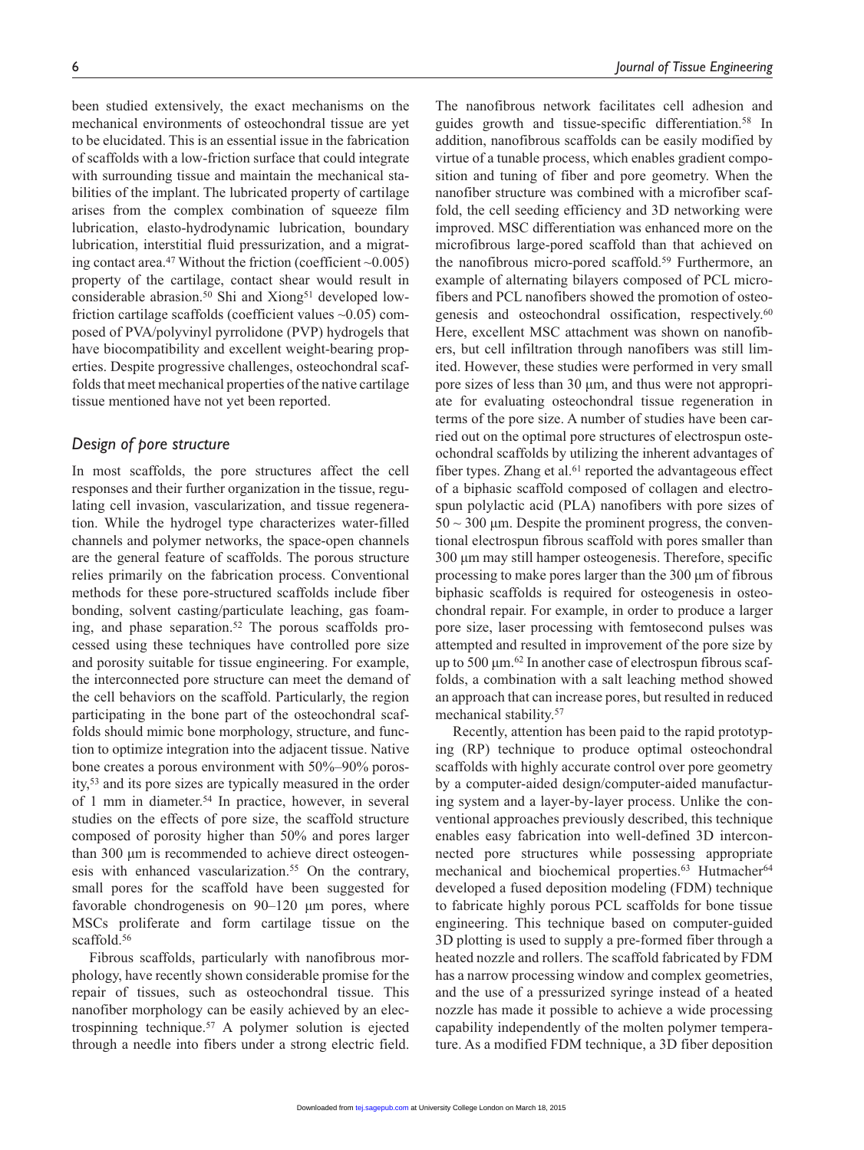been studied extensively, the exact mechanisms on the mechanical environments of osteochondral tissue are yet to be elucidated. This is an essential issue in the fabrication of scaffolds with a low-friction surface that could integrate with surrounding tissue and maintain the mechanical stabilities of the implant. The lubricated property of cartilage arises from the complex combination of squeeze film lubrication, elasto-hydrodynamic lubrication, boundary lubrication, interstitial fluid pressurization, and a migrating contact area.<sup>47</sup> Without the friction (coefficient  $\sim 0.005$ ) property of the cartilage, contact shear would result in considerable abrasion.<sup>50</sup> Shi and Xiong<sup>51</sup> developed lowfriction cartilage scaffolds (coefficient values  $\sim 0.05$ ) composed of PVA/polyvinyl pyrrolidone (PVP) hydrogels that have biocompatibility and excellent weight-bearing properties. Despite progressive challenges, osteochondral scaffolds that meet mechanical properties of the native cartilage tissue mentioned have not yet been reported.

#### *Design of pore structure*

In most scaffolds, the pore structures affect the cell responses and their further organization in the tissue, regulating cell invasion, vascularization, and tissue regeneration. While the hydrogel type characterizes water-filled channels and polymer networks, the space-open channels are the general feature of scaffolds. The porous structure relies primarily on the fabrication process. Conventional methods for these pore-structured scaffolds include fiber bonding, solvent casting/particulate leaching, gas foaming, and phase separation.<sup>52</sup> The porous scaffolds processed using these techniques have controlled pore size and porosity suitable for tissue engineering. For example, the interconnected pore structure can meet the demand of the cell behaviors on the scaffold. Particularly, the region participating in the bone part of the osteochondral scaffolds should mimic bone morphology, structure, and function to optimize integration into the adjacent tissue. Native bone creates a porous environment with 50%–90% porosity,53 and its pore sizes are typically measured in the order of 1 mm in diameter.54 In practice, however, in several studies on the effects of pore size, the scaffold structure composed of porosity higher than 50% and pores larger than 300 µm is recommended to achieve direct osteogenesis with enhanced vascularization.<sup>55</sup> On the contrary, small pores for the scaffold have been suggested for favorable chondrogenesis on 90–120 µm pores, where MSCs proliferate and form cartilage tissue on the scaffold.<sup>56</sup>

Fibrous scaffolds, particularly with nanofibrous morphology, have recently shown considerable promise for the repair of tissues, such as osteochondral tissue. This nanofiber morphology can be easily achieved by an electrospinning technique.57 A polymer solution is ejected through a needle into fibers under a strong electric field.

The nanofibrous network facilitates cell adhesion and guides growth and tissue-specific differentiation.58 In addition, nanofibrous scaffolds can be easily modified by virtue of a tunable process, which enables gradient composition and tuning of fiber and pore geometry. When the nanofiber structure was combined with a microfiber scaffold, the cell seeding efficiency and 3D networking were improved. MSC differentiation was enhanced more on the microfibrous large-pored scaffold than that achieved on the nanofibrous micro-pored scaffold.<sup>59</sup> Furthermore, an example of alternating bilayers composed of PCL microfibers and PCL nanofibers showed the promotion of osteogenesis and osteochondral ossification, respectively.<sup>60</sup> Here, excellent MSC attachment was shown on nanofibers, but cell infiltration through nanofibers was still limited. However, these studies were performed in very small pore sizes of less than 30 µm, and thus were not appropriate for evaluating osteochondral tissue regeneration in terms of the pore size. A number of studies have been carried out on the optimal pore structures of electrospun osteochondral scaffolds by utilizing the inherent advantages of fiber types. Zhang et al. $61$  reported the advantageous effect of a biphasic scaffold composed of collagen and electrospun polylactic acid (PLA) nanofibers with pore sizes of  $50 \sim 300$  µm. Despite the prominent progress, the conventional electrospun fibrous scaffold with pores smaller than 300 µm may still hamper osteogenesis. Therefore, specific processing to make pores larger than the 300 µm of fibrous biphasic scaffolds is required for osteogenesis in osteochondral repair. For example, in order to produce a larger pore size, laser processing with femtosecond pulses was attempted and resulted in improvement of the pore size by up to 500  $\mu$ m.<sup>62</sup> In another case of electrospun fibrous scaffolds, a combination with a salt leaching method showed an approach that can increase pores, but resulted in reduced mechanical stability.57

Recently, attention has been paid to the rapid prototyping (RP) technique to produce optimal osteochondral scaffolds with highly accurate control over pore geometry by a computer-aided design/computer-aided manufacturing system and a layer-by-layer process. Unlike the conventional approaches previously described, this technique enables easy fabrication into well-defined 3D interconnected pore structures while possessing appropriate mechanical and biochemical properties.<sup>63</sup> Hutmacher<sup>64</sup> developed a fused deposition modeling (FDM) technique to fabricate highly porous PCL scaffolds for bone tissue engineering. This technique based on computer-guided 3D plotting is used to supply a pre-formed fiber through a heated nozzle and rollers. The scaffold fabricated by FDM has a narrow processing window and complex geometries, and the use of a pressurized syringe instead of a heated nozzle has made it possible to achieve a wide processing capability independently of the molten polymer temperature. As a modified FDM technique, a 3D fiber deposition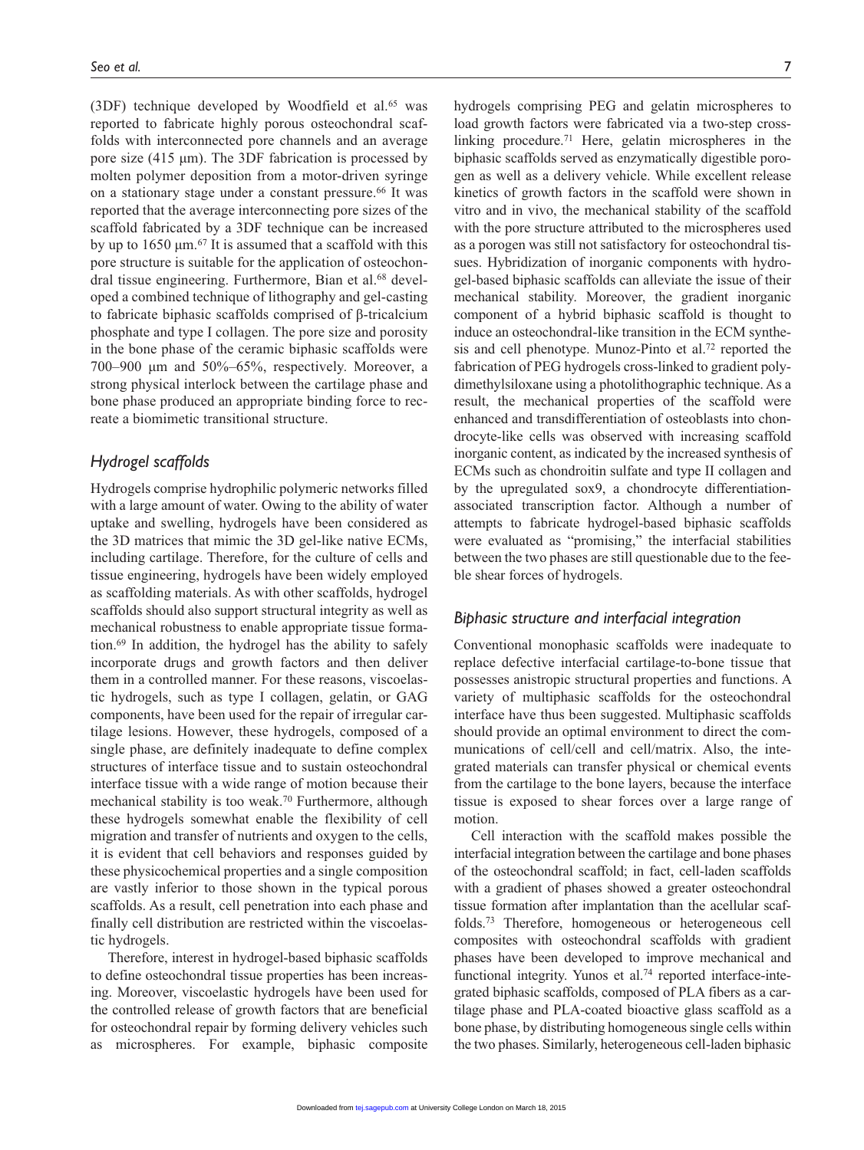(3DF) technique developed by Woodfield et al.<sup>65</sup> was reported to fabricate highly porous osteochondral scaffolds with interconnected pore channels and an average pore size (415  $\mu$ m). The 3DF fabrication is processed by molten polymer deposition from a motor-driven syringe on a stationary stage under a constant pressure.<sup>66</sup> It was reported that the average interconnecting pore sizes of the scaffold fabricated by a 3DF technique can be increased by up to  $1650 \mu m$ .<sup>67</sup> It is assumed that a scaffold with this pore structure is suitable for the application of osteochondral tissue engineering. Furthermore, Bian et al.<sup>68</sup> developed a combined technique of lithography and gel-casting to fabricate biphasic scaffolds comprised of β-tricalcium phosphate and type I collagen. The pore size and porosity in the bone phase of the ceramic biphasic scaffolds were 700–900 µm and 50%–65%, respectively. Moreover, a strong physical interlock between the cartilage phase and bone phase produced an appropriate binding force to recreate a biomimetic transitional structure.

## *Hydrogel scaffolds*

Hydrogels comprise hydrophilic polymeric networks filled with a large amount of water. Owing to the ability of water uptake and swelling, hydrogels have been considered as the 3D matrices that mimic the 3D gel-like native ECMs, including cartilage. Therefore, for the culture of cells and tissue engineering, hydrogels have been widely employed as scaffolding materials. As with other scaffolds, hydrogel scaffolds should also support structural integrity as well as mechanical robustness to enable appropriate tissue formation.69 In addition, the hydrogel has the ability to safely incorporate drugs and growth factors and then deliver them in a controlled manner. For these reasons, viscoelastic hydrogels, such as type I collagen, gelatin, or GAG components, have been used for the repair of irregular cartilage lesions. However, these hydrogels, composed of a single phase, are definitely inadequate to define complex structures of interface tissue and to sustain osteochondral interface tissue with a wide range of motion because their mechanical stability is too weak.70 Furthermore, although these hydrogels somewhat enable the flexibility of cell migration and transfer of nutrients and oxygen to the cells, it is evident that cell behaviors and responses guided by these physicochemical properties and a single composition are vastly inferior to those shown in the typical porous scaffolds. As a result, cell penetration into each phase and finally cell distribution are restricted within the viscoelastic hydrogels.

Therefore, interest in hydrogel-based biphasic scaffolds to define osteochondral tissue properties has been increasing. Moreover, viscoelastic hydrogels have been used for the controlled release of growth factors that are beneficial for osteochondral repair by forming delivery vehicles such as microspheres. For example, biphasic composite

hydrogels comprising PEG and gelatin microspheres to load growth factors were fabricated via a two-step crosslinking procedure.71 Here, gelatin microspheres in the biphasic scaffolds served as enzymatically digestible porogen as well as a delivery vehicle. While excellent release kinetics of growth factors in the scaffold were shown in vitro and in vivo, the mechanical stability of the scaffold with the pore structure attributed to the microspheres used as a porogen was still not satisfactory for osteochondral tissues. Hybridization of inorganic components with hydrogel-based biphasic scaffolds can alleviate the issue of their mechanical stability. Moreover, the gradient inorganic component of a hybrid biphasic scaffold is thought to induce an osteochondral-like transition in the ECM synthesis and cell phenotype. Munoz-Pinto et al.72 reported the fabrication of PEG hydrogels cross-linked to gradient polydimethylsiloxane using a photolithographic technique. As a result, the mechanical properties of the scaffold were enhanced and transdifferentiation of osteoblasts into chondrocyte-like cells was observed with increasing scaffold inorganic content, as indicated by the increased synthesis of ECMs such as chondroitin sulfate and type II collagen and by the upregulated sox9, a chondrocyte differentiationassociated transcription factor. Although a number of attempts to fabricate hydrogel-based biphasic scaffolds were evaluated as "promising," the interfacial stabilities between the two phases are still questionable due to the feeble shear forces of hydrogels.

#### *Biphasic structure and interfacial integration*

Conventional monophasic scaffolds were inadequate to replace defective interfacial cartilage-to-bone tissue that possesses anistropic structural properties and functions. A variety of multiphasic scaffolds for the osteochondral interface have thus been suggested. Multiphasic scaffolds should provide an optimal environment to direct the communications of cell/cell and cell/matrix. Also, the integrated materials can transfer physical or chemical events from the cartilage to the bone layers, because the interface tissue is exposed to shear forces over a large range of motion.

Cell interaction with the scaffold makes possible the interfacial integration between the cartilage and bone phases of the osteochondral scaffold; in fact, cell-laden scaffolds with a gradient of phases showed a greater osteochondral tissue formation after implantation than the acellular scaffolds.73 Therefore, homogeneous or heterogeneous cell composites with osteochondral scaffolds with gradient phases have been developed to improve mechanical and functional integrity. Yunos et al.<sup>74</sup> reported interface-integrated biphasic scaffolds, composed of PLA fibers as a cartilage phase and PLA-coated bioactive glass scaffold as a bone phase, by distributing homogeneous single cells within the two phases. Similarly, heterogeneous cell-laden biphasic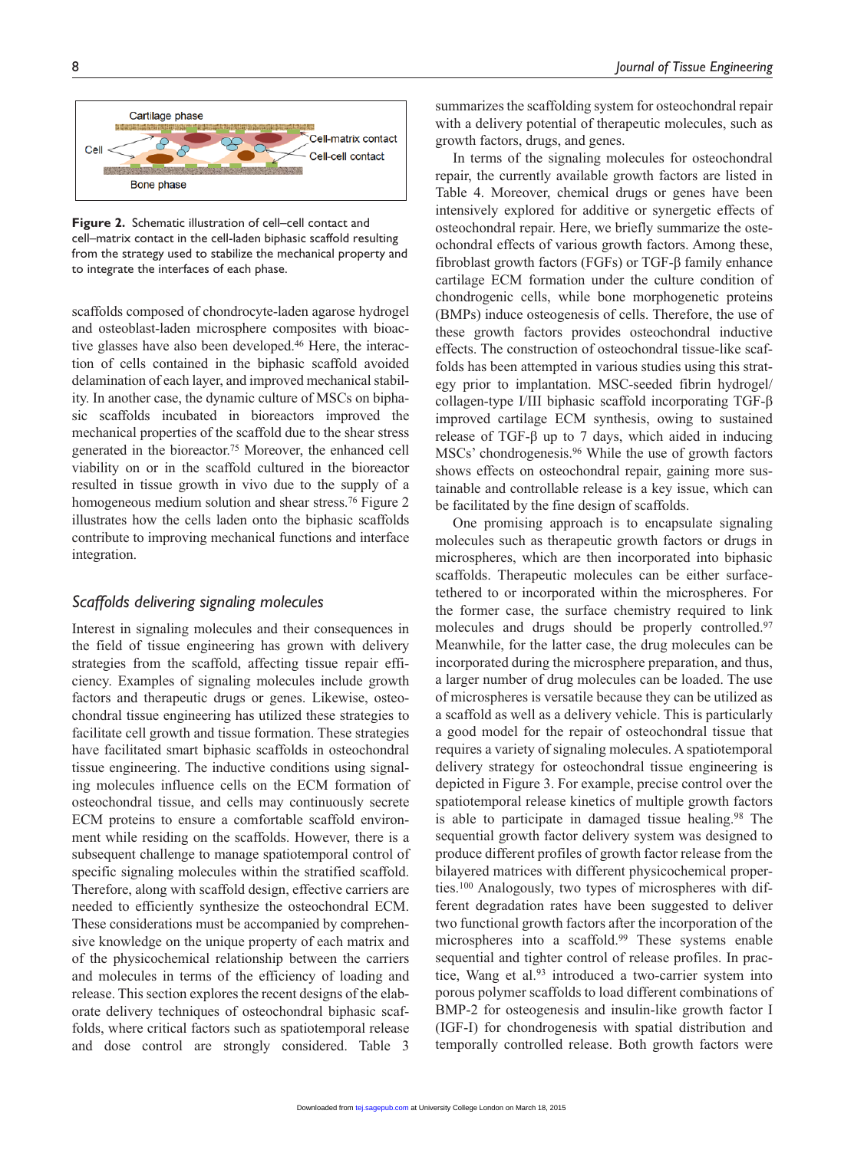

**Figure 2.** Schematic illustration of cell–cell contact and cell–matrix contact in the cell-laden biphasic scaffold resulting from the strategy used to stabilize the mechanical property and to integrate the interfaces of each phase.

scaffolds composed of chondrocyte-laden agarose hydrogel and osteoblast-laden microsphere composites with bioactive glasses have also been developed.46 Here, the interaction of cells contained in the biphasic scaffold avoided delamination of each layer, and improved mechanical stability. In another case, the dynamic culture of MSCs on biphasic scaffolds incubated in bioreactors improved the mechanical properties of the scaffold due to the shear stress generated in the bioreactor.75 Moreover, the enhanced cell viability on or in the scaffold cultured in the bioreactor resulted in tissue growth in vivo due to the supply of a homogeneous medium solution and shear stress.<sup>76</sup> Figure 2 illustrates how the cells laden onto the biphasic scaffolds contribute to improving mechanical functions and interface integration.

## *Scaffolds delivering signaling molecules*

Interest in signaling molecules and their consequences in the field of tissue engineering has grown with delivery strategies from the scaffold, affecting tissue repair efficiency. Examples of signaling molecules include growth factors and therapeutic drugs or genes. Likewise, osteochondral tissue engineering has utilized these strategies to facilitate cell growth and tissue formation. These strategies have facilitated smart biphasic scaffolds in osteochondral tissue engineering. The inductive conditions using signaling molecules influence cells on the ECM formation of osteochondral tissue, and cells may continuously secrete ECM proteins to ensure a comfortable scaffold environment while residing on the scaffolds. However, there is a subsequent challenge to manage spatiotemporal control of specific signaling molecules within the stratified scaffold. Therefore, along with scaffold design, effective carriers are needed to efficiently synthesize the osteochondral ECM. These considerations must be accompanied by comprehensive knowledge on the unique property of each matrix and of the physicochemical relationship between the carriers and molecules in terms of the efficiency of loading and release. This section explores the recent designs of the elaborate delivery techniques of osteochondral biphasic scaffolds, where critical factors such as spatiotemporal release and dose control are strongly considered. Table 3

summarizes the scaffolding system for osteochondral repair with a delivery potential of therapeutic molecules, such as growth factors, drugs, and genes.

In terms of the signaling molecules for osteochondral repair, the currently available growth factors are listed in Table 4. Moreover, chemical drugs or genes have been intensively explored for additive or synergetic effects of osteochondral repair. Here, we briefly summarize the osteochondral effects of various growth factors. Among these, fibroblast growth factors (FGFs) or TGF-β family enhance cartilage ECM formation under the culture condition of chondrogenic cells, while bone morphogenetic proteins (BMPs) induce osteogenesis of cells. Therefore, the use of these growth factors provides osteochondral inductive effects. The construction of osteochondral tissue-like scaffolds has been attempted in various studies using this strategy prior to implantation. MSC-seeded fibrin hydrogel/ collagen-type I/III biphasic scaffold incorporating TGF-β improved cartilage ECM synthesis, owing to sustained release of TGF-β up to 7 days, which aided in inducing MSCs' chondrogenesis.96 While the use of growth factors shows effects on osteochondral repair, gaining more sustainable and controllable release is a key issue, which can be facilitated by the fine design of scaffolds.

One promising approach is to encapsulate signaling molecules such as therapeutic growth factors or drugs in microspheres, which are then incorporated into biphasic scaffolds. Therapeutic molecules can be either surfacetethered to or incorporated within the microspheres. For the former case, the surface chemistry required to link molecules and drugs should be properly controlled.<sup>97</sup> Meanwhile, for the latter case, the drug molecules can be incorporated during the microsphere preparation, and thus, a larger number of drug molecules can be loaded. The use of microspheres is versatile because they can be utilized as a scaffold as well as a delivery vehicle. This is particularly a good model for the repair of osteochondral tissue that requires a variety of signaling molecules. A spatiotemporal delivery strategy for osteochondral tissue engineering is depicted in Figure 3. For example, precise control over the spatiotemporal release kinetics of multiple growth factors is able to participate in damaged tissue healing.98 The sequential growth factor delivery system was designed to produce different profiles of growth factor release from the bilayered matrices with different physicochemical properties.100 Analogously, two types of microspheres with different degradation rates have been suggested to deliver two functional growth factors after the incorporation of the microspheres into a scaffold.99 These systems enable sequential and tighter control of release profiles. In practice, Wang et al.93 introduced a two-carrier system into porous polymer scaffolds to load different combinations of BMP-2 for osteogenesis and insulin-like growth factor I (IGF-I) for chondrogenesis with spatial distribution and temporally controlled release. Both growth factors were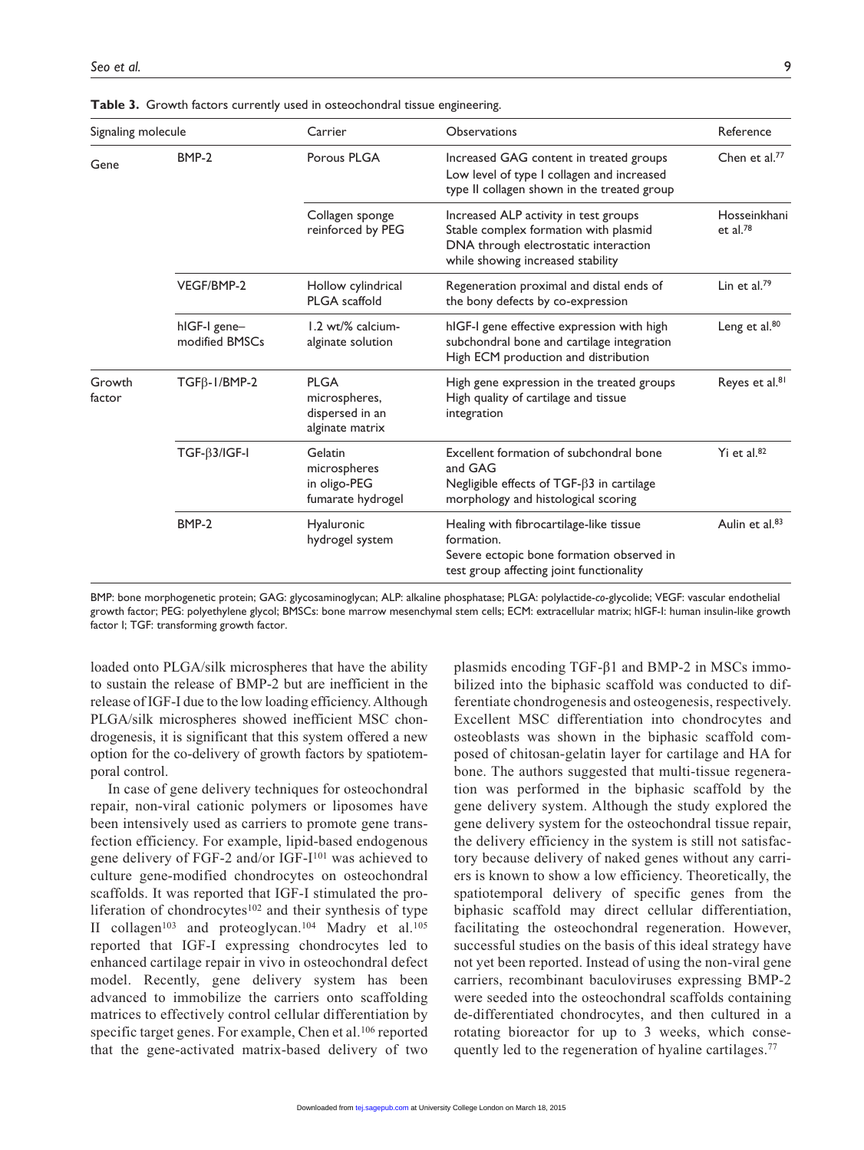| Signaling molecule |                                | Carrier                                                            | Observations                                                                                                                                                 | Reference                      |
|--------------------|--------------------------------|--------------------------------------------------------------------|--------------------------------------------------------------------------------------------------------------------------------------------------------------|--------------------------------|
| Gene               | BMP-2                          | Porous PLGA                                                        | Increased GAG content in treated groups<br>Low level of type I collagen and increased<br>type II collagen shown in the treated group                         | Chen et al. <sup>77</sup>      |
|                    |                                | Collagen sponge<br>reinforced by PEG                               | Increased ALP activity in test groups<br>Stable complex formation with plasmid<br>DNA through electrostatic interaction<br>while showing increased stability | Hosseinkhani<br>et al. $^{78}$ |
|                    | VEGF/BMP-2                     | Hollow cylindrical<br>PLGA scaffold                                | Regeneration proximal and distal ends of<br>the bony defects by co-expression                                                                                | Lin et al. $79$                |
|                    | hIGF-I gene-<br>modified BMSCs | 1.2 wt/% calcium-<br>alginate solution                             | hIGF-I gene effective expression with high<br>subchondral bone and cartilage integration<br>High ECM production and distribution                             | Leng et al.80                  |
| Growth<br>factor   | $TGF\beta-1/BMP-2$             | <b>PLGA</b><br>microspheres,<br>dispersed in an<br>alginate matrix | High gene expression in the treated groups<br>High quality of cartilage and tissue<br>integration                                                            | Reyes et al. <sup>81</sup>     |
|                    | $TGF-B3/IGF-I$                 | Gelatin<br>microspheres<br>in oligo-PEG<br>fumarate hydrogel       | Excellent formation of subchondral bone<br>and GAG<br>Negligible effects of $TGF-\beta3 in cartilage$<br>morphology and histological scoring                 | Yi et al. <sup>82</sup>        |
|                    | BMP-2                          | Hyaluronic<br>hydrogel system                                      | Healing with fibrocartilage-like tissue<br>formation.<br>Severe ectopic bone formation observed in<br>test group affecting joint functionality               | Aulin et al. <sup>83</sup>     |

**Table 3.** Growth factors currently used in osteochondral tissue engineering.

BMP: bone morphogenetic protein; GAG: glycosaminoglycan; ALP: alkaline phosphatase; PLGA: polylactide-*co*-glycolide; VEGF: vascular endothelial growth factor; PEG: polyethylene glycol; BMSCs: bone marrow mesenchymal stem cells; ECM: extracellular matrix; hIGF-I: human insulin-like growth factor I; TGF: transforming growth factor.

loaded onto PLGA/silk microspheres that have the ability to sustain the release of BMP-2 but are inefficient in the release of IGF-I due to the low loading efficiency. Although PLGA/silk microspheres showed inefficient MSC chondrogenesis, it is significant that this system offered a new option for the co-delivery of growth factors by spatiotemporal control.

In case of gene delivery techniques for osteochondral repair, non-viral cationic polymers or liposomes have been intensively used as carriers to promote gene transfection efficiency. For example, lipid-based endogenous gene delivery of FGF-2 and/or IGF-I101 was achieved to culture gene-modified chondrocytes on osteochondral scaffolds. It was reported that IGF-I stimulated the proliferation of chondrocytes $102$  and their synthesis of type II collagen<sup>103</sup> and proteoglycan.<sup>104</sup> Madry et al.<sup>105</sup> reported that IGF-I expressing chondrocytes led to enhanced cartilage repair in vivo in osteochondral defect model. Recently, gene delivery system has been advanced to immobilize the carriers onto scaffolding matrices to effectively control cellular differentiation by specific target genes. For example, Chen et al.106 reported that the gene-activated matrix-based delivery of two

plasmids encoding TGF-β1 and BMP-2 in MSCs immobilized into the biphasic scaffold was conducted to differentiate chondrogenesis and osteogenesis, respectively. Excellent MSC differentiation into chondrocytes and osteoblasts was shown in the biphasic scaffold composed of chitosan-gelatin layer for cartilage and HA for bone. The authors suggested that multi-tissue regeneration was performed in the biphasic scaffold by the gene delivery system. Although the study explored the gene delivery system for the osteochondral tissue repair, the delivery efficiency in the system is still not satisfactory because delivery of naked genes without any carriers is known to show a low efficiency. Theoretically, the spatiotemporal delivery of specific genes from the biphasic scaffold may direct cellular differentiation, facilitating the osteochondral regeneration. However, successful studies on the basis of this ideal strategy have not yet been reported. Instead of using the non-viral gene carriers, recombinant baculoviruses expressing BMP-2 were seeded into the osteochondral scaffolds containing de-differentiated chondrocytes, and then cultured in a rotating bioreactor for up to 3 weeks, which consequently led to the regeneration of hyaline cartilages.<sup>77</sup>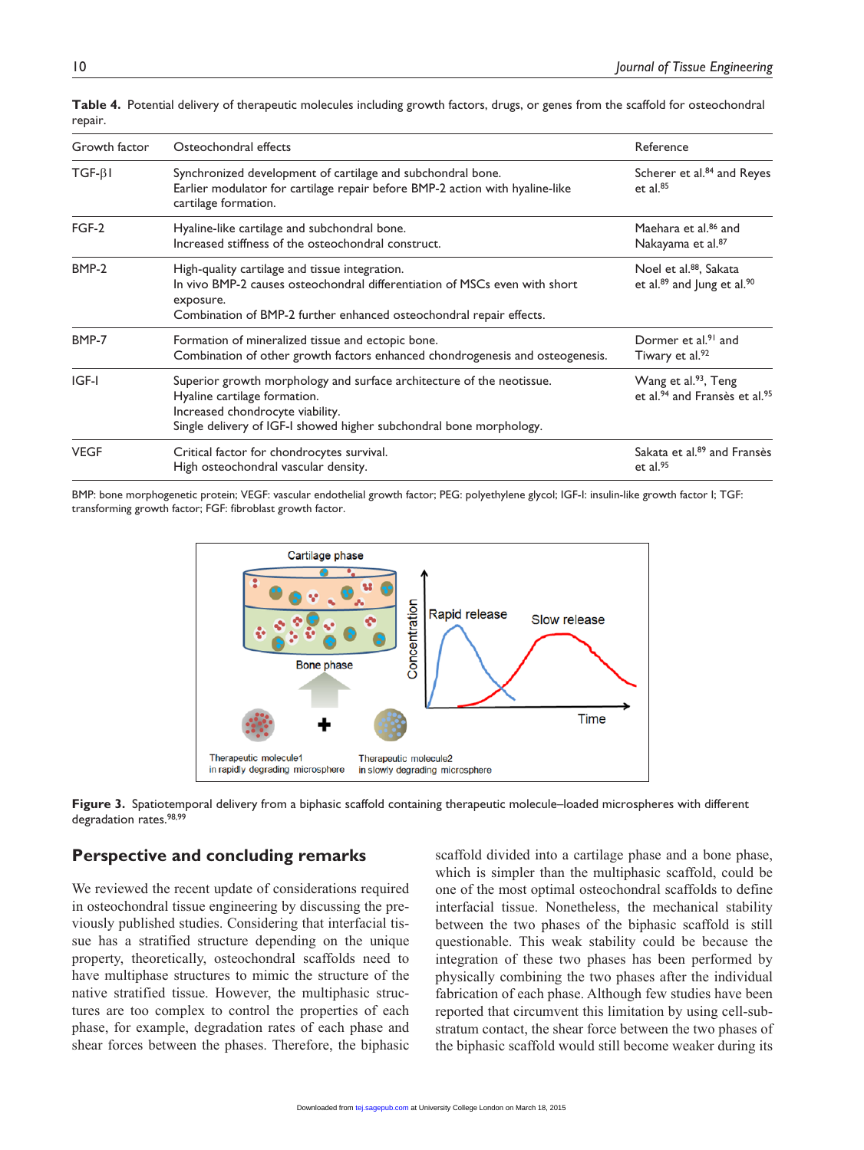| Growth factor | Osteochondral effects                                                                                                                                                                                            | Reference                                                                                 |
|---------------|------------------------------------------------------------------------------------------------------------------------------------------------------------------------------------------------------------------|-------------------------------------------------------------------------------------------|
| $TGF-BI$      | Synchronized development of cartilage and subchondral bone.<br>Earlier modulator for cartilage repair before BMP-2 action with hyaline-like<br>cartilage formation.                                              | Scherer et al. <sup>84</sup> and Reyes<br>et al. $85$                                     |
| $FGF-2$       | Hyaline-like cartilage and subchondral bone.<br>Increased stiffness of the osteochondral construct.                                                                                                              | Maehara et al. <sup>86</sup> and<br>Nakayama et al. <sup>87</sup>                         |
| BMP-2         | High-quality cartilage and tissue integration.<br>In vivo BMP-2 causes osteochondral differentiation of MSCs even with short<br>exposure.<br>Combination of BMP-2 further enhanced osteochondral repair effects. | Noel et al. <sup>88</sup> , Sakata<br>et al. $89$ and Jung et al. $90$                    |
| BMP-7         | Formation of mineralized tissue and ectopic bone.<br>Combination of other growth factors enhanced chondrogenesis and osteogenesis.                                                                               | Dormer et al. <sup>91</sup> and<br>Tiwary et al. <sup>92</sup>                            |
| IGF-I         | Superior growth morphology and surface architecture of the neotissue.<br>Hyaline cartilage formation.<br>Increased chondrocyte viability.<br>Single delivery of IGF-I showed higher subchondral bone morphology. | Wang et al. <sup>93</sup> , Teng<br>et al. <sup>94</sup> and Fransès et al. <sup>95</sup> |
| <b>VEGF</b>   | Critical factor for chondrocytes survival.<br>High osteochondral vascular density.                                                                                                                               | Sakata et al. <sup>89</sup> and Fransès<br>et al. $95$                                    |

**Table 4.** Potential delivery of therapeutic molecules including growth factors, drugs, or genes from the scaffold for osteochondral repair.

BMP: bone morphogenetic protein; VEGF: vascular endothelial growth factor; PEG: polyethylene glycol; IGF-I: insulin-like growth factor I; TGF: transforming growth factor; FGF: fibroblast growth factor.



**Figure 3.** Spatiotemporal delivery from a biphasic scaffold containing therapeutic molecule–loaded microspheres with different degradation rates.<sup>98,99</sup>

## **Perspective and concluding remarks**

We reviewed the recent update of considerations required in osteochondral tissue engineering by discussing the previously published studies. Considering that interfacial tissue has a stratified structure depending on the unique property, theoretically, osteochondral scaffolds need to have multiphase structures to mimic the structure of the native stratified tissue. However, the multiphasic structures are too complex to control the properties of each phase, for example, degradation rates of each phase and shear forces between the phases. Therefore, the biphasic scaffold divided into a cartilage phase and a bone phase, which is simpler than the multiphasic scaffold, could be one of the most optimal osteochondral scaffolds to define interfacial tissue. Nonetheless, the mechanical stability between the two phases of the biphasic scaffold is still questionable. This weak stability could be because the integration of these two phases has been performed by physically combining the two phases after the individual fabrication of each phase. Although few studies have been reported that circumvent this limitation by using cell-substratum contact, the shear force between the two phases of the biphasic scaffold would still become weaker during its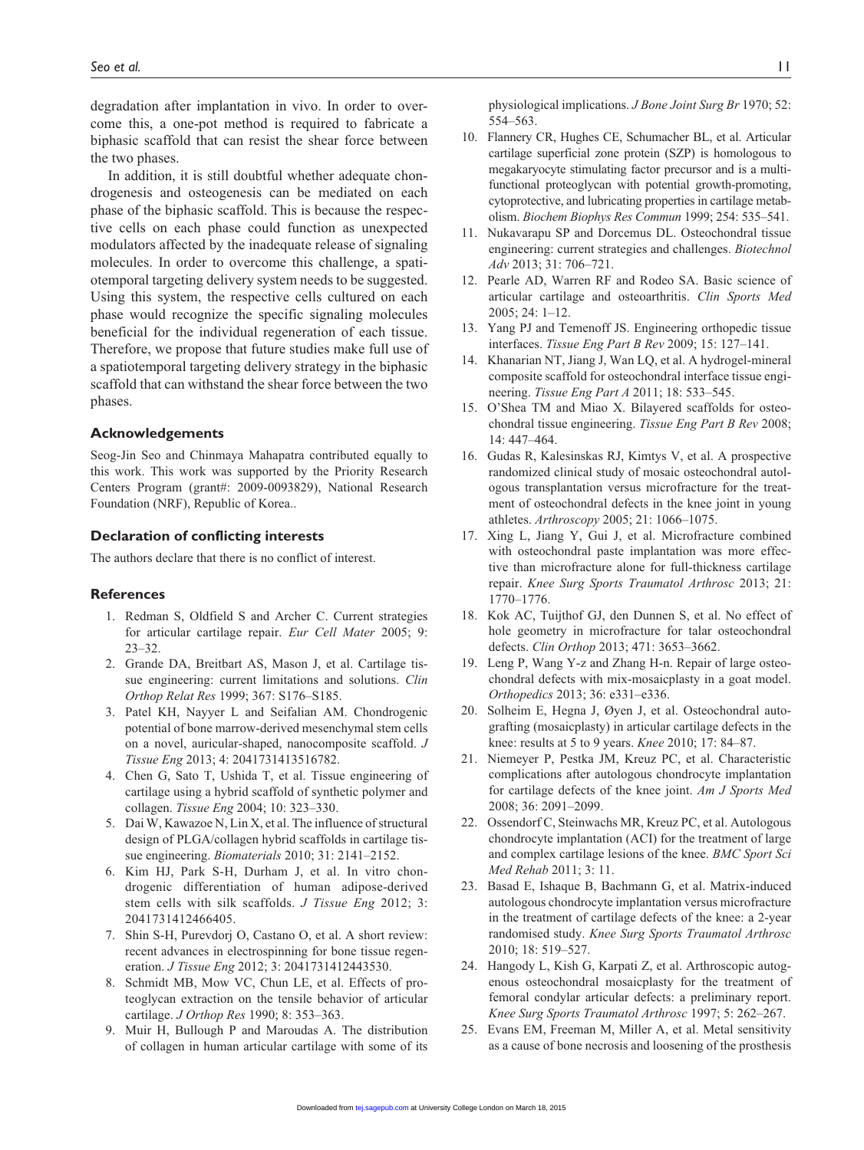degradation after implantation in vivo. In order to overcome this, a one-pot method is required to fabricate a biphasic scaffold that can resist the shear force between the two phases.

In addition, it is still doubtful whether adequate chondrogenesis and osteogenesis can be mediated on each phase of the biphasic scaffold. This is because the respective cells on each phase could function as unexpected modulators affected by the inadequate release of signaling molecules. In order to overcome this challenge, a spatiotemporal targeting delivery system needs to be suggested. Using this system, the respective cells cultured on each phase would recognize the specific signaling molecules beneficial for the individual regeneration of each tissue. Therefore, we propose that future studies make full use of a spatiotemporal targeting delivery strategy in the biphasic scaffold that can withstand the shear force between the two phases.

#### **Acknowledgements**

Seog-Jin Seo and Chinmaya Mahapatra contributed equally to this work. This work was supported by the Priority Research Centers Program (grant#: 2009-0093829), National Research Foundation (NRF), Republic of Korea..

#### **Declaration of conflicting interests**

The authors declare that there is no conflict of interest.

#### **References**

- 1. Redman S, Oldfield S and Archer C. Current strategies for articular cartilage repair. *Eur Cell Mater* 2005; 9: 23–32.
- 2. Grande DA, Breitbart AS, Mason J, et al. Cartilage tissue engineering: current limitations and solutions. *Clin Orthop Relat Res* 1999; 367: S176–S185.
- 3. Patel KH, Nayyer L and Seifalian AM. Chondrogenic potential of bone marrow-derived mesenchymal stem cells on a novel, auricular-shaped, nanocomposite scaffold. *J Tissue Eng* 2013; 4: 2041731413516782.
- 4. Chen G, Sato T, Ushida T, et al. Tissue engineering of cartilage using a hybrid scaffold of synthetic polymer and collagen. *Tissue Eng* 2004; 10: 323–330.
- 5. Dai W, Kawazoe N, Lin X, et al. The influence of structural design of PLGA/collagen hybrid scaffolds in cartilage tissue engineering. *Biomaterials* 2010; 31: 2141–2152.
- 6. Kim HJ, Park S-H, Durham J, et al. In vitro chondrogenic differentiation of human adipose-derived stem cells with silk scaffolds. *J Tissue Eng* 2012; 3: 2041731412466405.
- 7. Shin S-H, Purevdorj O, Castano O, et al. A short review: recent advances in electrospinning for bone tissue regeneration. *J Tissue Eng* 2012; 3: 2041731412443530.
- 8. Schmidt MB, Mow VC, Chun LE, et al. Effects of proteoglycan extraction on the tensile behavior of articular cartilage. *J Orthop Res* 1990; 8: 353–363.
- 9. Muir H, Bullough P and Maroudas A. The distribution of collagen in human articular cartilage with some of its

physiological implications. *J Bone Joint Surg Br* 1970; 52: 554–563.

- 10. Flannery CR, Hughes CE, Schumacher BL, et al. Articular cartilage superficial zone protein (SZP) is homologous to megakaryocyte stimulating factor precursor and is a multifunctional proteoglycan with potential growth-promoting, cytoprotective, and lubricating properties in cartilage metabolism. *Biochem Biophys Res Commun* 1999; 254: 535–541.
- 11. Nukavarapu SP and Dorcemus DL. Osteochondral tissue engineering: current strategies and challenges. *Biotechnol Adv* 2013; 31: 706–721.
- 12. Pearle AD, Warren RF and Rodeo SA. Basic science of articular cartilage and osteoarthritis. *Clin Sports Med* 2005; 24: 1–12.
- 13. Yang PJ and Temenoff JS. Engineering orthopedic tissue interfaces. *Tissue Eng Part B Rev* 2009; 15: 127–141.
- 14. Khanarian NT, Jiang J, Wan LQ, et al. A hydrogel-mineral composite scaffold for osteochondral interface tissue engineering. *Tissue Eng Part A* 2011; 18: 533–545.
- 15. O'Shea TM and Miao X. Bilayered scaffolds for osteochondral tissue engineering. *Tissue Eng Part B Rev* 2008; 14: 447–464.
- 16. Gudas R, Kalesinskas RJ, Kimtys V, et al. A prospective randomized clinical study of mosaic osteochondral autologous transplantation versus microfracture for the treatment of osteochondral defects in the knee joint in young athletes. *Arthroscopy* 2005; 21: 1066–1075.
- 17. Xing L, Jiang Y, Gui J, et al. Microfracture combined with osteochondral paste implantation was more effective than microfracture alone for full-thickness cartilage repair. *Knee Surg Sports Traumatol Arthrosc* 2013; 21: 1770–1776.
- 18. Kok AC, Tuijthof GJ, den Dunnen S, et al. No effect of hole geometry in microfracture for talar osteochondral defects. *Clin Orthop* 2013; 471: 3653–3662.
- 19. Leng P, Wang Y-z and Zhang H-n. Repair of large osteochondral defects with mix-mosaicplasty in a goat model. *Orthopedics* 2013; 36: e331–e336.
- 20. Solheim E, Hegna J, Øyen J, et al. Osteochondral autografting (mosaicplasty) in articular cartilage defects in the knee: results at 5 to 9 years. *Knee* 2010; 17: 84–87.
- 21. Niemeyer P, Pestka JM, Kreuz PC, et al. Characteristic complications after autologous chondrocyte implantation for cartilage defects of the knee joint. *Am J Sports Med* 2008; 36: 2091–2099.
- 22. Ossendorf C, Steinwachs MR, Kreuz PC, et al. Autologous chondrocyte implantation (ACI) for the treatment of large and complex cartilage lesions of the knee. *BMC Sport Sci Med Rehab* 2011; 3: 11.
- 23. Basad E, Ishaque B, Bachmann G, et al. Matrix-induced autologous chondrocyte implantation versus microfracture in the treatment of cartilage defects of the knee: a 2-year randomised study. *Knee Surg Sports Traumatol Arthrosc* 2010; 18: 519–527.
- 24. Hangody L, Kish G, Karpati Z, et al. Arthroscopic autogenous osteochondral mosaicplasty for the treatment of femoral condylar articular defects: a preliminary report. *Knee Surg Sports Traumatol Arthrosc* 1997; 5: 262–267.
- 25. Evans EM, Freeman M, Miller A, et al. Metal sensitivity as a cause of bone necrosis and loosening of the prosthesis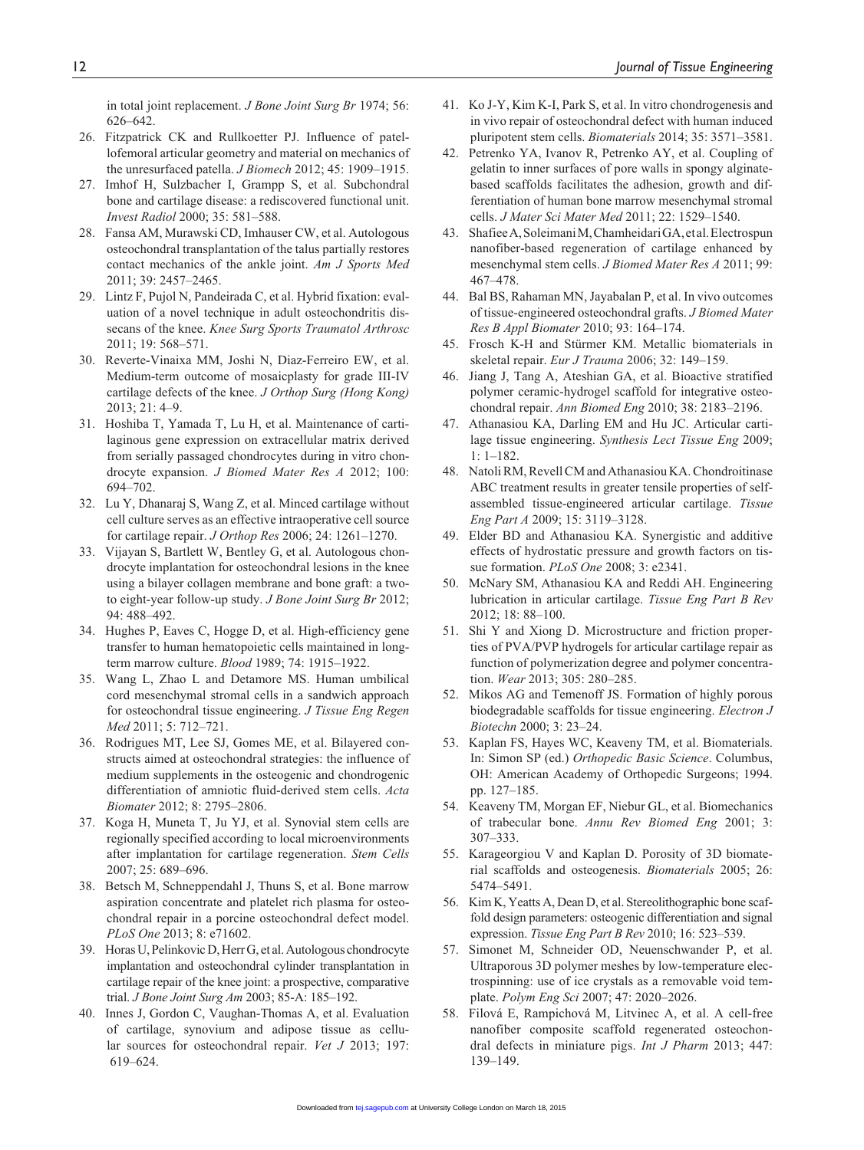in total joint replacement. *J Bone Joint Surg Br* 1974; 56: 626–642.

- 26. Fitzpatrick CK and Rullkoetter PJ. Influence of patellofemoral articular geometry and material on mechanics of the unresurfaced patella. *J Biomech* 2012; 45: 1909–1915.
- 27. Imhof H, Sulzbacher I, Grampp S, et al. Subchondral bone and cartilage disease: a rediscovered functional unit. *Invest Radiol* 2000; 35: 581–588.
- 28. Fansa AM, Murawski CD, Imhauser CW, et al. Autologous osteochondral transplantation of the talus partially restores contact mechanics of the ankle joint. *Am J Sports Med* 2011; 39: 2457–2465.
- 29. Lintz F, Pujol N, Pandeirada C, et al. Hybrid fixation: evaluation of a novel technique in adult osteochondritis dissecans of the knee. *Knee Surg Sports Traumatol Arthrosc* 2011; 19: 568–571.
- 30. Reverte-Vinaixa MM, Joshi N, Diaz-Ferreiro EW, et al. Medium-term outcome of mosaicplasty for grade III-IV cartilage defects of the knee. *J Orthop Surg (Hong Kong)* 2013; 21: 4–9.
- 31. Hoshiba T, Yamada T, Lu H, et al. Maintenance of cartilaginous gene expression on extracellular matrix derived from serially passaged chondrocytes during in vitro chondrocyte expansion. *J Biomed Mater Res A* 2012; 100: 694–702.
- 32. Lu Y, Dhanaraj S, Wang Z, et al. Minced cartilage without cell culture serves as an effective intraoperative cell source for cartilage repair. *J Orthop Res* 2006; 24: 1261–1270.
- 33. Vijayan S, Bartlett W, Bentley G, et al. Autologous chondrocyte implantation for osteochondral lesions in the knee using a bilayer collagen membrane and bone graft: a twoto eight-year follow-up study. *J Bone Joint Surg Br* 2012; 94: 488–492.
- 34. Hughes P, Eaves C, Hogge D, et al. High-efficiency gene transfer to human hematopoietic cells maintained in longterm marrow culture. *Blood* 1989; 74: 1915–1922.
- 35. Wang L, Zhao L and Detamore MS. Human umbilical cord mesenchymal stromal cells in a sandwich approach for osteochondral tissue engineering. *J Tissue Eng Regen Med* 2011; 5: 712–721.
- 36. Rodrigues MT, Lee SJ, Gomes ME, et al. Bilayered constructs aimed at osteochondral strategies: the influence of medium supplements in the osteogenic and chondrogenic differentiation of amniotic fluid-derived stem cells. *Acta Biomater* 2012; 8: 2795–2806.
- 37. Koga H, Muneta T, Ju YJ, et al. Synovial stem cells are regionally specified according to local microenvironments after implantation for cartilage regeneration. *Stem Cells* 2007; 25: 689–696.
- 38. Betsch M, Schneppendahl J, Thuns S, et al. Bone marrow aspiration concentrate and platelet rich plasma for osteochondral repair in a porcine osteochondral defect model. *PLoS One* 2013; 8: e71602.
- 39. Horas U, Pelinkovic D, Herr G, et al. Autologous chondrocyte implantation and osteochondral cylinder transplantation in cartilage repair of the knee joint: a prospective, comparative trial. *J Bone Joint Surg Am* 2003; 85-A: 185–192.
- 40. Innes J, Gordon C, Vaughan-Thomas A, et al. Evaluation of cartilage, synovium and adipose tissue as cellular sources for osteochondral repair. *Vet J* 2013; 197: 619–624.
- 41. Ko J-Y, Kim K-I, Park S, et al. In vitro chondrogenesis and in vivo repair of osteochondral defect with human induced pluripotent stem cells. *Biomaterials* 2014; 35: 3571–3581.
- 42. Petrenko YA, Ivanov R, Petrenko AY, et al. Coupling of gelatin to inner surfaces of pore walls in spongy alginatebased scaffolds facilitates the adhesion, growth and differentiation of human bone marrow mesenchymal stromal cells. *J Mater Sci Mater Med* 2011; 22: 1529–1540.
- 43. Shafiee A, Soleimani M, Chamheidari GA, etal. Electrospun nanofiber-based regeneration of cartilage enhanced by mesenchymal stem cells. *J Biomed Mater Res A* 2011; 99: 467–478.
- 44. Bal BS, Rahaman MN, Jayabalan P, et al. In vivo outcomes of tissue-engineered osteochondral grafts. *J Biomed Mater Res B Appl Biomater* 2010; 93: 164–174.
- 45. Frosch K-H and Stürmer KM. Metallic biomaterials in skeletal repair. *Eur J Trauma* 2006; 32: 149–159.
- 46. Jiang J, Tang A, Ateshian GA, et al. Bioactive stratified polymer ceramic-hydrogel scaffold for integrative osteochondral repair. *Ann Biomed Eng* 2010; 38: 2183–2196.
- 47. Athanasiou KA, Darling EM and Hu JC. Articular cartilage tissue engineering. *Synthesis Lect Tissue Eng* 2009; 1: 1–182.
- 48. Natoli RM, Revell CM and Athanasiou KA. Chondroitinase ABC treatment results in greater tensile properties of selfassembled tissue-engineered articular cartilage. *Tissue Eng Part A* 2009; 15: 3119–3128.
- 49. Elder BD and Athanasiou KA. Synergistic and additive effects of hydrostatic pressure and growth factors on tissue formation. *PLoS One* 2008; 3: e2341.
- 50. McNary SM, Athanasiou KA and Reddi AH. Engineering lubrication in articular cartilage. *Tissue Eng Part B Rev* 2012; 18: 88–100.
- 51. Shi Y and Xiong D. Microstructure and friction properties of PVA/PVP hydrogels for articular cartilage repair as function of polymerization degree and polymer concentration. *Wear* 2013; 305: 280–285.
- 52. Mikos AG and Temenoff JS. Formation of highly porous biodegradable scaffolds for tissue engineering. *Electron J Biotechn* 2000; 3: 23–24.
- 53. Kaplan FS, Hayes WC, Keaveny TM, et al. Biomaterials. In: Simon SP (ed.) *Orthopedic Basic Science*. Columbus, OH: American Academy of Orthopedic Surgeons; 1994. pp. 127–185.
- 54. Keaveny TM, Morgan EF, Niebur GL, et al. Biomechanics of trabecular bone. *Annu Rev Biomed Eng* 2001; 3: 307–333.
- 55. Karageorgiou V and Kaplan D. Porosity of 3D biomaterial scaffolds and osteogenesis. *Biomaterials* 2005; 26: 5474–5491.
- 56. Kim K, Yeatts A, Dean D, et al. Stereolithographic bone scaffold design parameters: osteogenic differentiation and signal expression. *Tissue Eng Part B Rev* 2010; 16: 523–539.
- 57. Simonet M, Schneider OD, Neuenschwander P, et al. Ultraporous 3D polymer meshes by low-temperature electrospinning: use of ice crystals as a removable void template. *Polym Eng Sci* 2007; 47: 2020–2026.
- 58. Filová E, Rampichová M, Litvinec A, et al. A cell-free nanofiber composite scaffold regenerated osteochondral defects in miniature pigs. *Int J Pharm* 2013; 447: 139–149.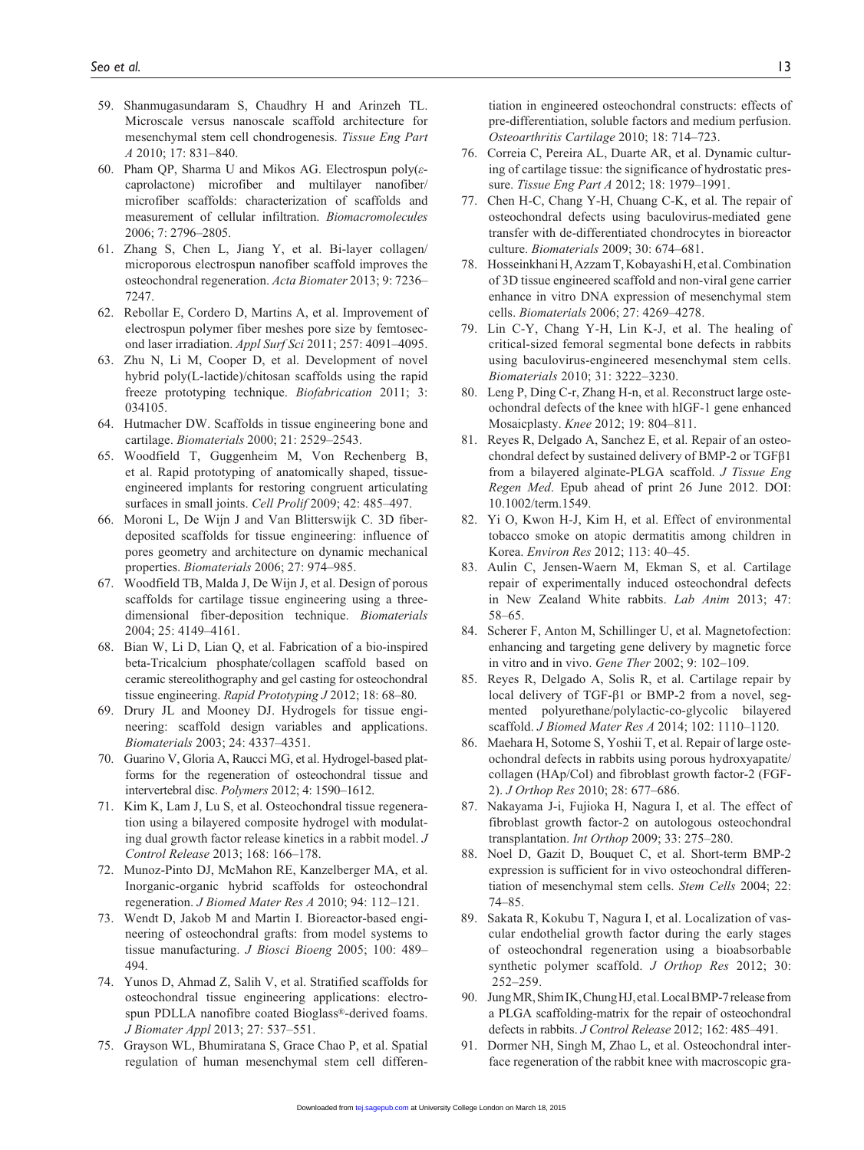- 59. Shanmugasundaram S, Chaudhry H and Arinzeh TL. Microscale versus nanoscale scaffold architecture for mesenchymal stem cell chondrogenesis. *Tissue Eng Part A* 2010; 17: 831–840.
- 60. Pham QP, Sharma U and Mikos AG. Electrospun poly(*ε*caprolactone) microfiber and multilayer nanofiber/ microfiber scaffolds: characterization of scaffolds and measurement of cellular infiltration. *Biomacromolecules* 2006; 7: 2796–2805.
- 61. Zhang S, Chen L, Jiang Y, et al. Bi-layer collagen/ microporous electrospun nanofiber scaffold improves the osteochondral regeneration. *Acta Biomater* 2013; 9: 7236– 7247.
- 62. Rebollar E, Cordero D, Martins A, et al. Improvement of electrospun polymer fiber meshes pore size by femtosecond laser irradiation. *Appl Surf Sci* 2011; 257: 4091–4095.
- 63. Zhu N, Li M, Cooper D, et al. Development of novel hybrid poly(L-lactide)/chitosan scaffolds using the rapid freeze prototyping technique. *Biofabrication* 2011; 3: 034105.
- 64. Hutmacher DW. Scaffolds in tissue engineering bone and cartilage. *Biomaterials* 2000; 21: 2529–2543.
- 65. Woodfield T, Guggenheim M, Von Rechenberg B, et al. Rapid prototyping of anatomically shaped, tissueengineered implants for restoring congruent articulating surfaces in small joints. *Cell Prolif* 2009; 42: 485–497.
- 66. Moroni L, De Wijn J and Van Blitterswijk C. 3D fiberdeposited scaffolds for tissue engineering: influence of pores geometry and architecture on dynamic mechanical properties. *Biomaterials* 2006; 27: 974–985.
- 67. Woodfield TB, Malda J, De Wijn J, et al. Design of porous scaffolds for cartilage tissue engineering using a threedimensional fiber-deposition technique. *Biomaterials* 2004; 25: 4149–4161.
- 68. Bian W, Li D, Lian Q, et al. Fabrication of a bio-inspired beta-Tricalcium phosphate/collagen scaffold based on ceramic stereolithography and gel casting for osteochondral tissue engineering. *Rapid Prototyping J* 2012; 18: 68–80.
- 69. Drury JL and Mooney DJ. Hydrogels for tissue engineering: scaffold design variables and applications. *Biomaterials* 2003; 24: 4337–4351.
- 70. Guarino V, Gloria A, Raucci MG, et al. Hydrogel-based platforms for the regeneration of osteochondral tissue and intervertebral disc. *Polymers* 2012; 4: 1590–1612.
- 71. Kim K, Lam J, Lu S, et al. Osteochondral tissue regeneration using a bilayered composite hydrogel with modulating dual growth factor release kinetics in a rabbit model. *J Control Release* 2013; 168: 166–178.
- 72. Munoz-Pinto DJ, McMahon RE, Kanzelberger MA, et al. Inorganic-organic hybrid scaffolds for osteochondral regeneration. *J Biomed Mater Res A* 2010; 94: 112–121.
- 73. Wendt D, Jakob M and Martin I. Bioreactor-based engineering of osteochondral grafts: from model systems to tissue manufacturing. *J Biosci Bioeng* 2005; 100: 489– 494.
- 74. Yunos D, Ahmad Z, Salih V, et al. Stratified scaffolds for osteochondral tissue engineering applications: electrospun PDLLA nanofibre coated Bioglass®-derived foams. *J Biomater Appl* 2013; 27: 537–551.
- 75. Grayson WL, Bhumiratana S, Grace Chao P, et al. Spatial regulation of human mesenchymal stem cell differen-

tiation in engineered osteochondral constructs: effects of pre-differentiation, soluble factors and medium perfusion. *Osteoarthritis Cartilage* 2010; 18: 714–723.

- 76. Correia C, Pereira AL, Duarte AR, et al. Dynamic culturing of cartilage tissue: the significance of hydrostatic pressure. *Tissue Eng Part A* 2012; 18: 1979–1991.
- 77. Chen H-C, Chang Y-H, Chuang C-K, et al. The repair of osteochondral defects using baculovirus-mediated gene transfer with de-differentiated chondrocytes in bioreactor culture. *Biomaterials* 2009; 30: 674–681.
- 78. Hosseinkhani H, Azzam T, Kobayashi H, et al. Combination of 3D tissue engineered scaffold and non-viral gene carrier enhance in vitro DNA expression of mesenchymal stem cells. *Biomaterials* 2006; 27: 4269–4278.
- 79. Lin C-Y, Chang Y-H, Lin K-J, et al. The healing of critical-sized femoral segmental bone defects in rabbits using baculovirus-engineered mesenchymal stem cells. *Biomaterials* 2010; 31: 3222–3230.
- 80. Leng P, Ding C-r, Zhang H-n, et al. Reconstruct large osteochondral defects of the knee with hIGF-1 gene enhanced Mosaicplasty. *Knee* 2012; 19: 804–811.
- 81. Reyes R, Delgado A, Sanchez E, et al. Repair of an osteochondral defect by sustained delivery of BMP-2 or TGFβ1 from a bilayered alginate-PLGA scaffold. *J Tissue Eng Regen Med*. Epub ahead of print 26 June 2012. DOI: 10.1002/term.1549.
- 82. Yi O, Kwon H-J, Kim H, et al. Effect of environmental tobacco smoke on atopic dermatitis among children in Korea. *Environ Res* 2012; 113: 40–45.
- 83. Aulin C, Jensen-Waern M, Ekman S, et al. Cartilage repair of experimentally induced osteochondral defects in New Zealand White rabbits. *Lab Anim* 2013; 47: 58–65.
- 84. Scherer F, Anton M, Schillinger U, et al. Magnetofection: enhancing and targeting gene delivery by magnetic force in vitro and in vivo. *Gene Ther* 2002; 9: 102–109.
- 85. Reyes R, Delgado A, Solis R, et al. Cartilage repair by local delivery of TGF-β1 or BMP-2 from a novel, segmented polyurethane/polylactic-co-glycolic bilayered scaffold. *J Biomed Mater Res A* 2014; 102: 1110–1120.
- 86. Maehara H, Sotome S, Yoshii T, et al. Repair of large osteochondral defects in rabbits using porous hydroxyapatite/ collagen (HAp/Col) and fibroblast growth factor-2 (FGF-2). *J Orthop Res* 2010; 28: 677–686.
- 87. Nakayama J-i, Fujioka H, Nagura I, et al. The effect of fibroblast growth factor-2 on autologous osteochondral transplantation. *Int Orthop* 2009; 33: 275–280.
- 88. Noel D, Gazit D, Bouquet C, et al. Short-term BMP-2 expression is sufficient for in vivo osteochondral differentiation of mesenchymal stem cells. *Stem Cells* 2004; 22: 74–85.
- 89. Sakata R, Kokubu T, Nagura I, et al. Localization of vascular endothelial growth factor during the early stages of osteochondral regeneration using a bioabsorbable synthetic polymer scaffold. *J Orthop Res* 2012; 30: 252–259.
- 90. Jung MR, Shim IK, Chung HJ, etal. Local BMP-7 release from a PLGA scaffolding-matrix for the repair of osteochondral defects in rabbits. *J Control Release* 2012; 162: 485–491.
- 91. Dormer NH, Singh M, Zhao L, et al. Osteochondral interface regeneration of the rabbit knee with macroscopic gra-